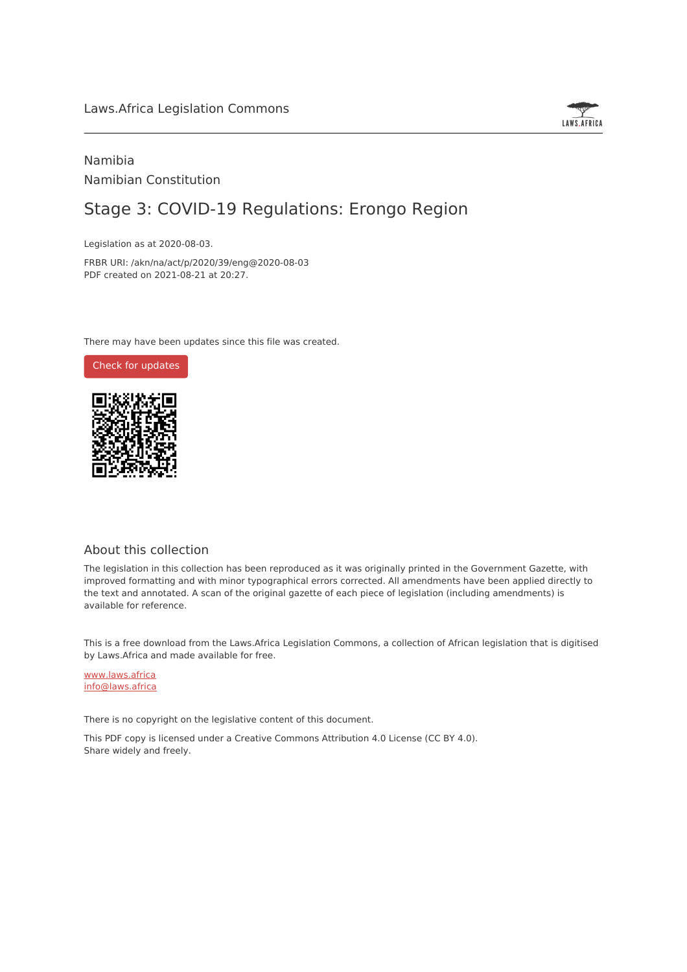

## Namibia Namibian Constitution

# Stage 3: COVID-19 Regulations: Erongo Region

Legislation as at 2020-08-03.

FRBR URI: /akn/na/act/p/2020/39/eng@2020-08-03 PDF created on 2021-08-21 at 20:27.

There may have been updates since this file was created.

Check for [updates](https://commons.laws.africa/akn/na/act/p/2020/39/eng@2020-08-03?ts=2021-08-21T20:27:33.395027+00:00)



### About this collection

The legislation in this collection has been reproduced as it was originally printed in the Government Gazette, with improved formatting and with minor typographical errors corrected. All amendments have been applied directly to the text and annotated. A scan of the original gazette of each piece of legislation (including amendments) is available for reference.

This is a free download from the Laws.Africa Legislation Commons, a collection of African legislation that is digitised by Laws.Africa and made available for free.

[www.laws.africa](https://www.laws.africa) [info@laws.africa](mailto:info@laws.africa)

There is no copyright on the legislative content of this document.

This PDF copy is licensed under a Creative Commons Attribution 4.0 License (CC BY 4.0). Share widely and freely.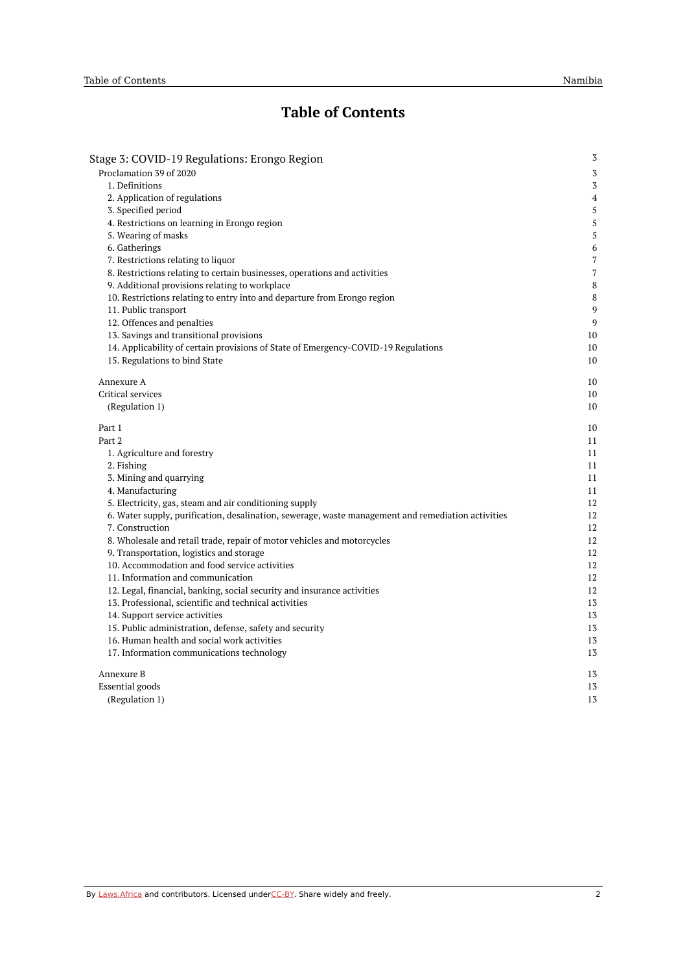# **Table of Contents**

| Stage 3: COVID-19 Regulations: Erongo Region                                                       | $\sqrt{3}$     |
|----------------------------------------------------------------------------------------------------|----------------|
| Proclamation 39 of 2020                                                                            | $\sqrt{3}$     |
| 1. Definitions                                                                                     | 3              |
| 2. Application of regulations                                                                      | 4              |
| 3. Specified period                                                                                | 5              |
| 4. Restrictions on learning in Erongo region                                                       | 5              |
| 5. Wearing of masks                                                                                | 5              |
| 6. Gatherings                                                                                      | 6              |
| 7. Restrictions relating to liquor                                                                 | $\overline{7}$ |
| 8. Restrictions relating to certain businesses, operations and activities                          | 7              |
| 9. Additional provisions relating to workplace                                                     | 8              |
| 10. Restrictions relating to entry into and departure from Erongo region                           | 8              |
| 11. Public transport                                                                               | 9              |
| 12. Offences and penalties                                                                         | 9              |
| 13. Savings and transitional provisions                                                            | 10             |
| 14. Applicability of certain provisions of State of Emergency-COVID-19 Regulations                 | 10             |
| 15. Regulations to bind State                                                                      | 10             |
| Annexure A                                                                                         | 10             |
| Critical services                                                                                  | 10             |
| (Regulation 1)                                                                                     | 10             |
| Part 1                                                                                             | 10             |
| Part 2                                                                                             | 11             |
| 1. Agriculture and forestry                                                                        | 11             |
| 2. Fishing                                                                                         | 11             |
| 3. Mining and quarrying                                                                            | 11             |
| 4. Manufacturing                                                                                   | 11             |
| 5. Electricity, gas, steam and air conditioning supply                                             | 12             |
| 6. Water supply, purification, desalination, sewerage, waste management and remediation activities | 12             |
| 7. Construction                                                                                    | 12             |
| 8. Wholesale and retail trade, repair of motor vehicles and motorcycles                            | 12             |
| 9. Transportation, logistics and storage                                                           | 12             |
| 10. Accommodation and food service activities                                                      | 12             |
| 11. Information and communication                                                                  | 12             |
| 12. Legal, financial, banking, social security and insurance activities                            | 12             |
| 13. Professional, scientific and technical activities                                              | 13             |
| 14. Support service activities                                                                     | 13             |
| 15. Public administration, defense, safety and security                                            | 13             |
| 16. Human health and social work activities                                                        | 13             |
| 17. Information communications technology                                                          | 13             |
| Annexure B                                                                                         | 13             |
| <b>Essential</b> goods                                                                             | 13             |
| (Regulation 1)                                                                                     | 13             |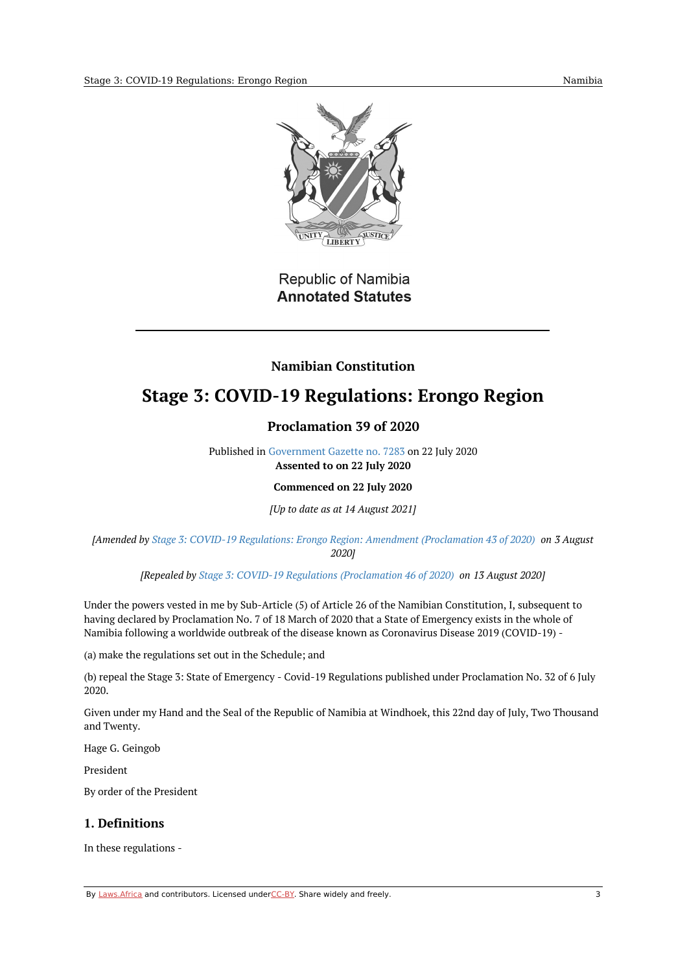

# Republic of Namibia **Annotated Statutes**

### **Namibian Constitution**

# <span id="page-2-1"></span><span id="page-2-0"></span>**Stage 3: COVID-19 Regulations: Erongo Region**

### **Proclamation 39 of 2020**

Published in [Government](https://commons.laws.africa/akn/na/act/p/2020/39/media/publication/na-act-p-2020-39-publication-document.pdf) Gazette no. 7283 on 22 July 2020 **Assented to on 22 July 2020**

#### **Commenced on 22 July 2020**

*[Up to date as at 14 August 2021]*

*[Amended by Stage 3: COVID-19 Regulations: Erongo Region: Amendment [\(Proclamation](https://africanlii.org/akn/na/act/p/2020/43) 43 of 2020) on 3 August 2020]*

*[Repealed by Stage 3: COVID-19 Regulations [\(Proclamation](https://africanlii.org/akn/na/act/p/2020/46) 46 of 2020) on 13 August 2020]*

Under the powers vested in me by Sub-Article (5) of Article 26 of the Namibian Constitution, I, subsequent to having declared by Proclamation No. 7 of 18 March of 2020 that a State of Emergency exists in the whole of Namibia following a worldwide outbreak of the disease known as Coronavirus Disease 2019 (COVID-19) -

(a) make the regulations set out in the Schedule; and

(b) repeal the Stage 3: State of Emergency - Covid-19 Regulations published under Proclamation No. 32 of 6 July 2020.

Given under my Hand and the Seal of the Republic of Namibia at Windhoek, this 22nd day of July, Two Thousand and Twenty.

Hage G. Geingob

President

By order of the President

#### <span id="page-2-2"></span>**1. Definitions**

In these regulations -

By [Laws.Africa](https://edit.laws.africa/widgets/pdf-attribution) and contributors. Licensed und[erCC-B](https://edit.laws.africa/widgets/pdf-cc-by)Y. Share widely and freely. 3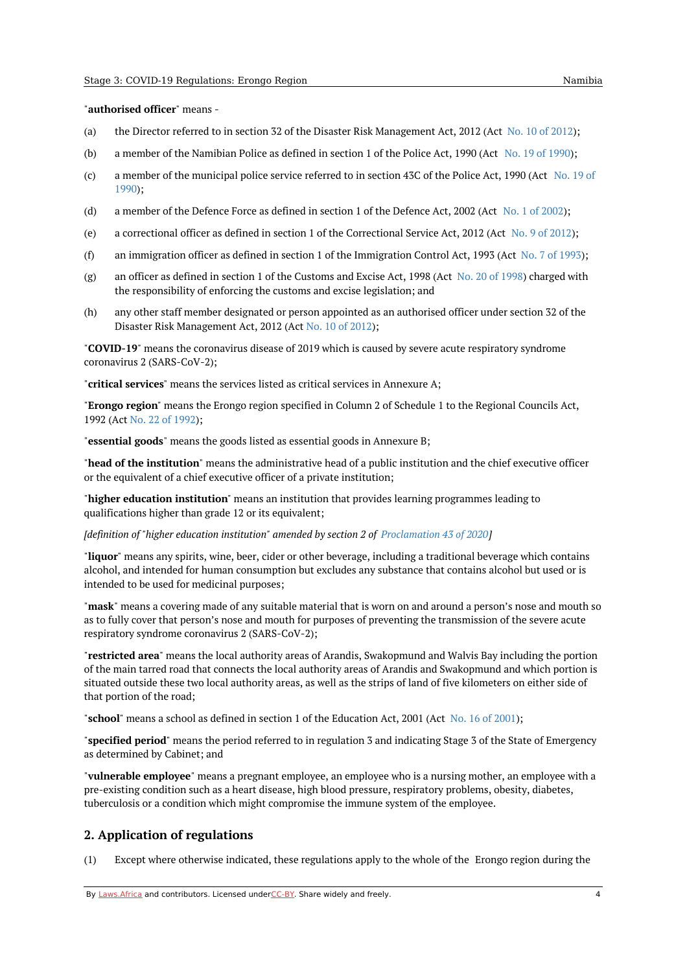#### "**authorised officer**" means -

- (a) the Director referred to in section 32 of the Disaster Risk Management Act, [2012](https://africanlii.org/akn/na/act/2012/10) (Act No. 10 of 2012);
- (b) a member of the Namibian Police as defined in section 1 of the Police Act, 1990 (Act No. 19 of [1990](https://africanlii.org/akn/na/act/1990/19));
- (c) a member of the [municipal](https://africanlii.org/akn/na/act/1990/19) police service referred to in section 43C of the Police Act, 1990 (Act No. 19 of 1990);
- (d) a member of the Defence Force as defined in section 1 of the Defence Act, 2002 (Act No. 1 of [2002](https://africanlii.org/akn/na/act/2002/1));
- (e) a correctional officer as defined in section 1 of the Correctional Service Act, 2012 (Act No. 9 of [2012](https://africanlii.org/akn/na/act/2012/9));
- (f) an immigration officer as defined in section 1 of the Immigration Control Act, 1993 (Act No. 7 of [1993](https://africanlii.org/akn/na/act/1993/7));
- (g) an officer as defined in section 1 of the Customs and Excise Act, 1998 (Act No. 20 of [1998](https://africanlii.org/akn/na/act/1998/20)) charged with the responsibility of enforcing the customs and excise legislation; and
- (h) any other staff member designated or person appointed as an authorised officer under section 32 of the Disaster Risk Management Act, 2012 (Act No. 10 of [2012](https://africanlii.org/akn/na/act/2012/10));

"**COVID-19**" means the coronavirus disease of 2019 which is caused by severe acute respiratory syndrome coronavirus 2 (SARS-CoV-2);

"**critical services**" means the services listed as critical services in Annexure A;

"**Erongo region**" means the Erongo region specified in Column 2 of Schedule 1 to the Regional Councils Act, 1992 (Act No. 22 of [1992\)](https://africanlii.org/akn/na/act/1992/22);

"**essential goods**" means the goods listed as essential goods in Annexure B;

"**head of the institution**" means the administrative head of a public institution and the chief executive officer or the equivalent of a chief executive officer of a private institution;

"**higher education institution**" means an institution that provides learning programmes leading to qualifications higher than grade 12 or its equivalent;

*[definition of "higher education institution" amended by section 2 of [Proclamation](https://africanlii.org/akn/na/act/p/2020/43) 43 of 2020]*

"**liquor**" means any spirits, wine, beer, cider or other beverage, including a traditional beverage which contains alcohol, and intended for human consumption but excludes any substance that contains alcohol but used or is intended to be used for medicinal purposes;

"**mask**" means a covering made of any suitable material that is worn on and around a person's nose and mouth so as to fully cover that person's nose and mouth for purposes of preventing the transmission of the severe acute respiratory syndrome coronavirus 2 (SARS-CoV-2);

"**restricted area**" means the local authority areas of Arandis, Swakopmund and Walvis Bay including the portion of the main tarred road that connects the local authority areas of Arandis and Swakopmund and which portion is situated outside these two local authority areas, as well as the strips of land of five kilometers on either side of that portion of the road;

"**school**" means a school as defined in section 1 of the Education Act, 2001 (Act No. 16 of [2001](https://africanlii.org/akn/na/act/2001/16));

"**specified period**" means the period referred to in regulation 3 and indicating Stage 3 of the State of Emergency as determined by Cabinet; and

"**vulnerable employee**" means a pregnant employee, an employee who is a nursing mother, an employee with a pre-existing condition such as a heart disease, high blood pressure, respiratory problems, obesity, diabetes, tuberculosis or a condition which might compromise the immune system of the employee.

#### <span id="page-3-0"></span>**2. Application of regulations**

(1) Except where otherwise indicated, these regulations apply to the whole of the Erongo region during the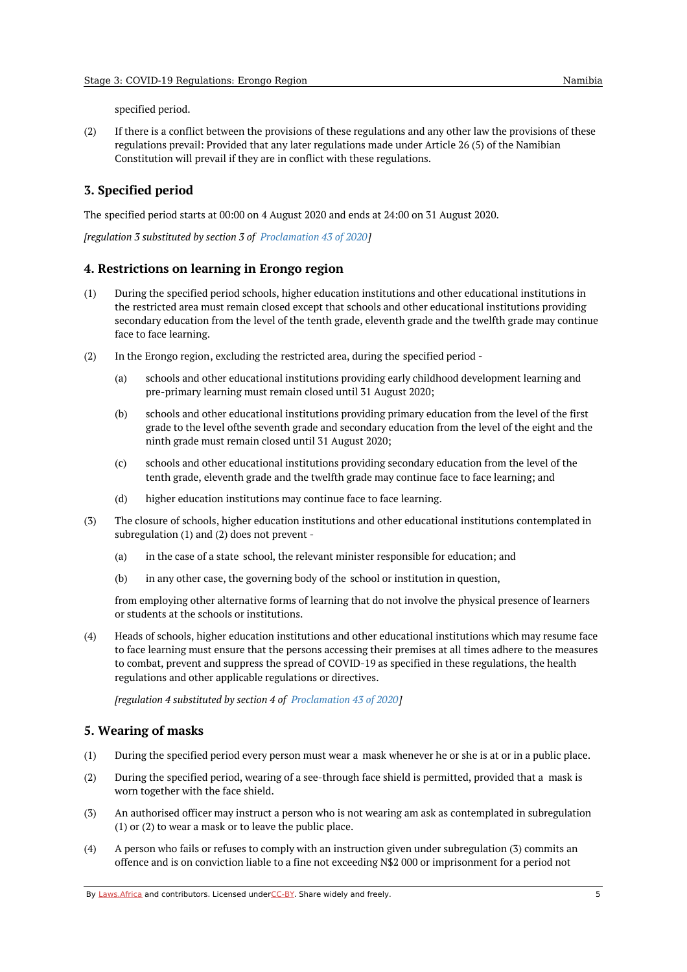specified period.

(2) If there is a conflict between the provisions of these regulations and any other law the provisions of these regulations prevail: Provided that any later regulations made under Article 26 (5) of the Namibian Constitution will prevail if they are in conflict with these regulations.

### <span id="page-4-0"></span>**3. Specified period**

The specified period starts at 00:00 on 4 August 2020 and ends at 24:00 on 31 August 2020.

*[regulation 3 substituted by section 3 of [Proclamation](https://africanlii.org/akn/na/act/p/2020/43) 43 of 2020]*

#### <span id="page-4-1"></span>**4. Restrictions on learning in Erongo region**

- (1) During the specified period schools, higher education institutions and other educational institutions in the restricted area must remain closed except that schools and other educational institutions providing secondary education from the level of the tenth grade, eleventh grade and the twelfth grade may continue face to face learning.
- (2) In the Erongo region, excluding the restricted area, during the specified period -
	- (a) schools and other educational institutions providing early childhood development learning and pre-primary learning must remain closed until 31 August 2020;
	- (b) schools and other educational institutions providing primary education from the level of the first grade to the level ofthe seventh grade and secondary education from the level of the eight and the ninth grade must remain closed until 31 August 2020;
	- (c) schools and other educational institutions providing secondary education from the level of the tenth grade, eleventh grade and the twelfth grade may continue face to face learning; and
	- (d) higher education institutions may continue face to face learning.
- (3) The closure of schools, higher education institutions and other educational institutions contemplated in subregulation (1) and (2) does not prevent -
	- (a) in the case of a state school, the relevant minister responsible for education; and
	- (b) in any other case, the governing body of the school or institution in question,

from employing other alternative forms of learning that do not involve the physical presence of learners or students at the schools or institutions.

(4) Heads of schools, higher education institutions and other educational institutions which may resume face to face learning must ensure that the persons accessing their premises at all times adhere to the measures to combat, prevent and suppress the spread of COVID-19 as specified in these regulations, the health regulations and other applicable regulations or directives.

*[regulation 4 substituted by section 4 of [Proclamation](https://africanlii.org/akn/na/act/p/2020/43) 43 of 2020]*

#### <span id="page-4-2"></span>**5. Wearing of masks**

- (1) During the specified period every person must wear a mask whenever he or she is at or in a public place.
- (2) During the specified period, wearing of a see-through face shield is permitted, provided that a mask is worn together with the face shield.
- (3) An authorised officer may instruct a person who is not wearing am ask as contemplated in subregulation (1) or (2) to wear a mask or to leave the public place.
- (4) A person who fails or refuses to comply with an instruction given under subregulation (3) commits an offence and is on conviction liable to a fine not exceeding N\$2 000 or imprisonment for a period not

By [Laws.Africa](https://edit.laws.africa/widgets/pdf-attribution) and contributors. Licensed und[erCC-B](https://edit.laws.africa/widgets/pdf-cc-by)Y. Share widely and freely.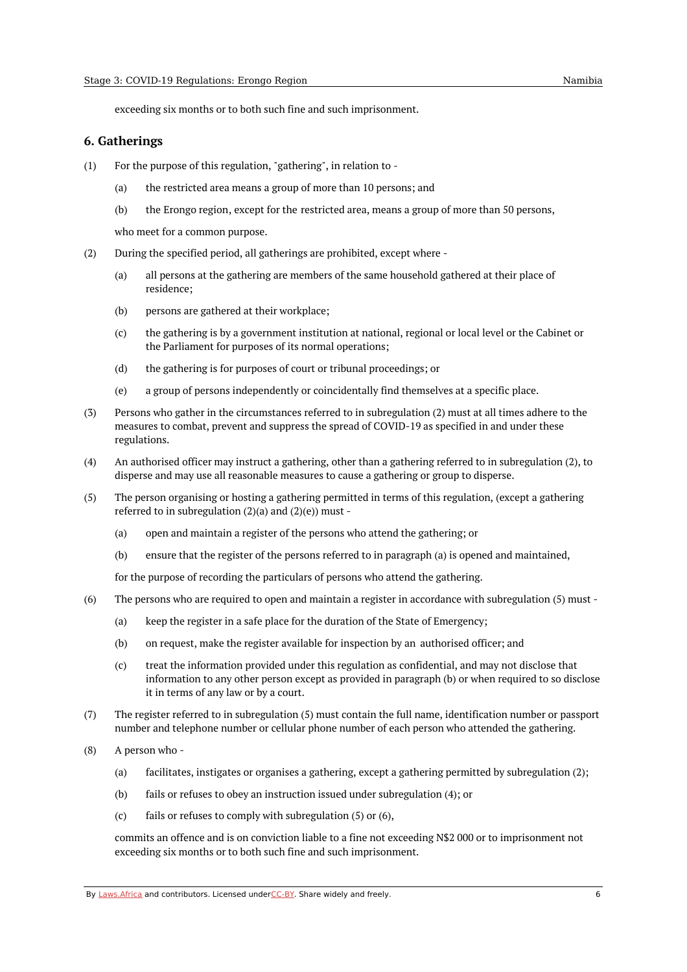exceeding six months or to both such fine and such imprisonment.

#### <span id="page-5-0"></span>**6. Gatherings**

- (1) For the purpose of this regulation, "gathering", in relation to -
	- (a) the restricted area means a group of more than 10 persons; and
	- (b) the Erongo region, except for the restricted area, means a group of more than 50 persons,

who meet for a common purpose.

- (2) During the specified period, all gatherings are prohibited, except where -
	- (a) all persons at the gathering are members of the same household gathered at their place of residence;
	- (b) persons are gathered at their workplace;
	- (c) the gathering is by a government institution at national, regional or local level or the Cabinet or the Parliament for purposes of its normal operations;
	- (d) the gathering is for purposes of court or tribunal proceedings; or
	- (e) a group of persons independently or coincidentally find themselves at a specific place.
- (3) Persons who gather in the circumstances referred to in subregulation (2) must at all times adhere to the measures to combat, prevent and suppress the spread of COVID-19 as specified in and under these regulations.
- (4) An authorised officer may instruct a gathering, other than a gathering referred to in subregulation (2), to disperse and may use all reasonable measures to cause a gathering or group to disperse.
- (5) The person organising or hosting a gathering permitted in terms of this regulation, (except a gathering referred to in subregulation  $(2)(a)$  and  $(2)(e)$ ) must -
	- (a) open and maintain a register of the persons who attend the gathering; or
	- (b) ensure that the register of the persons referred to in paragraph (a) is opened and maintained,

for the purpose of recording the particulars of persons who attend the gathering.

- (6) The persons who are required to open and maintain a register in accordance with subregulation (5) must -
	- (a) keep the register in a safe place for the duration of the State of Emergency;
	- (b) on request, make the register available for inspection by an authorised officer; and
	- (c) treat the information provided under this regulation as confidential, and may not disclose that information to any other person except as provided in paragraph (b) or when required to so disclose it in terms of any law or by a court.
- (7) The register referred to in subregulation (5) must contain the full name, identification number or passport number and telephone number or cellular phone number of each person who attended the gathering.
- (8) A person who -
	- (a) facilitates, instigates or organises a gathering, except a gathering permitted by subregulation (2);
	- (b) fails or refuses to obey an instruction issued under subregulation (4); or
	- (c) fails or refuses to comply with subregulation (5) or (6),

commits an offence and is on conviction liable to a fine not exceeding N\$2 000 or to imprisonment not exceeding six months or to both such fine and such imprisonment.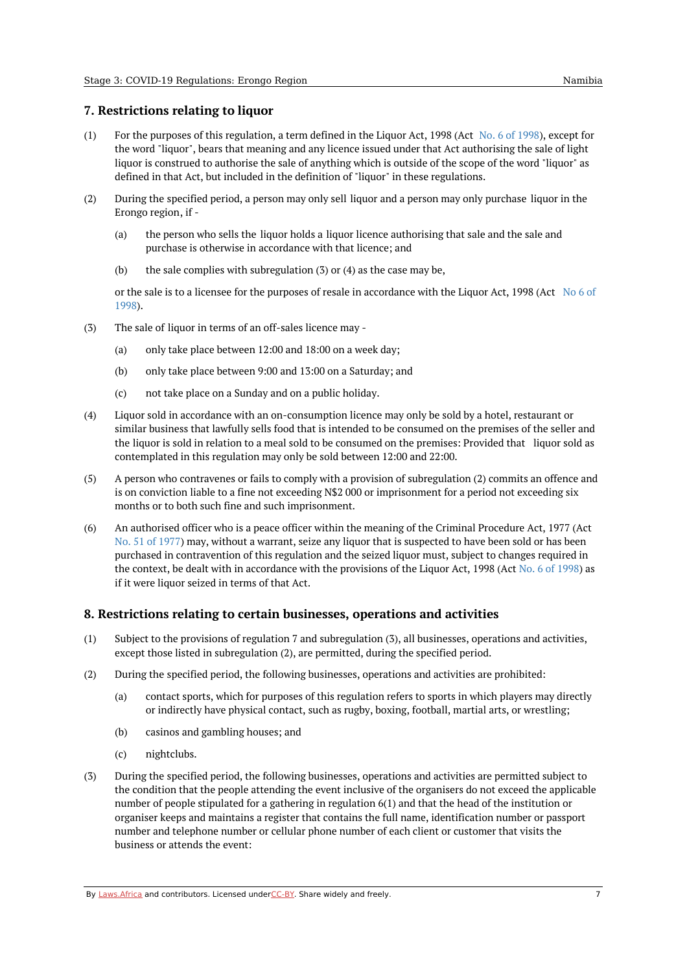#### <span id="page-6-0"></span>**7. Restrictions relating to liquor**

- $(1)$ For the purposes of this regulation, a term defined in the Liquor Act, [1998](https://africanlii.org/akn/na/act/1998/6) (Act No. 6 of 1998), except for the word "liquor", bears that meaning and any licence issued under that Act authorising the sale of light liquor is construed to authorise the sale of anything which is outside of the scope of the word "liquor" as defined in that Act, but included in the definition of "liquor" in these regulations.
- (2) During the specified period, a person may only sell liquor and a person may only purchase liquor in the Erongo region, if -
	- (a) the person who sells the liquor holds a liquor licence authorising that sale and the sale and purchase is otherwise in accordance with that licence; and
	- (b) the sale complies with subregulation (3) or (4) as the case may be,

or the sale is to a licensee for the purposes of resale in [accordance](https://africanlii.org/akn/na/act/1998/6) with the Liquor Act, 1998 (Act No 6 of 1998).

- (3) The sale of liquor in terms of an off-sales licence may -
	- (a) only take place between 12:00 and 18:00 on a week day;
	- (b) only take place between 9:00 and 13:00 on a Saturday; and
	- (c) not take place on a Sunday and on a public holiday.
- (4) Liquor sold in accordance with an on-consumption licence may only be sold by a hotel, restaurant or similar business that lawfully sells food that is intended to be consumed on the premises of the seller and the liquor is sold in relation to a meal sold to be consumed on the premises: Provided that liquor sold as contemplated in this regulation may only be sold between 12:00 and 22:00.
- (5) A person who contravenes or fails to comply with a provision of subregulation (2) commits an offence and is on conviction liable to a fine not exceeding N\$2 000 or imprisonment for a period not exceeding six months or to both such fine and such imprisonment.
- (6) An authorised officer who is a peace officer within the meaning of the Criminal Procedure Act, 1977 (Act No. 51 of [1977](https://africanlii.org/akn/na/act/1977/51)) may, without a warrant, seize any liquor that is suspected to have been sold or has been purchased in contravention of this regulation and the seized liquor must, subject to changes required in the context, be dealt with in accordance with the provisions of the Liquor Act, 1998 (Act No. 6 of [1998](https://africanlii.org/akn/na/act/1998/6)) as if it were liquor seized in terms of that Act.

#### <span id="page-6-1"></span>**8. Restrictions relating to certain businesses, operations and activities**

- (1) Subject to the provisions of regulation 7 and subregulation (3), all businesses, operations and activities, except those listed in subregulation (2), are permitted, during the specified period.
- (2) During the specified period, the following businesses, operations and activities are prohibited:
	- (a) contact sports, which for purposes of this regulation refers to sports in which players may directly or indirectly have physical contact, such as rugby, boxing, football, martial arts, or wrestling;
	- (b) casinos and gambling houses; and
	- (c) nightclubs.
- (3) During the specified period, the following businesses, operations and activities are permitted subject to the condition that the people attending the event inclusive of the organisers do not exceed the applicable number of people stipulated for a gathering in regulation 6(1) and that the head of the institution or organiser keeps and maintains a register that contains the full name, identification number or passport number and telephone number or cellular phone number of each client or customer that visits the business or attends the event: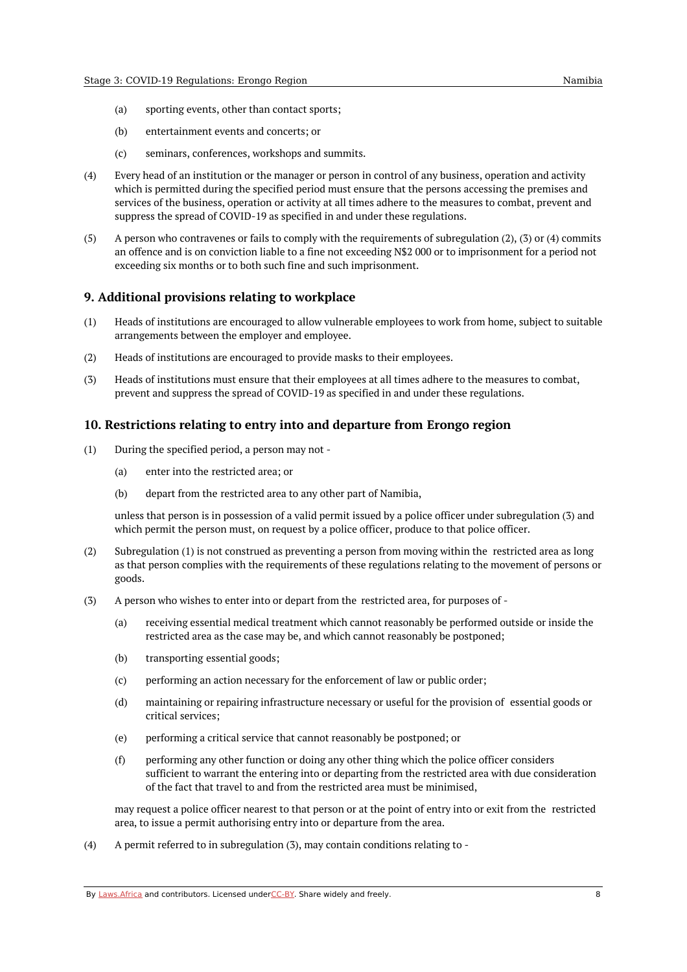- (a) sporting events, other than contact sports;
- (b) entertainment events and concerts; or
- (c) seminars, conferences, workshops and summits.
- (4) Every head of an institution or the manager or person in control of any business, operation and activity which is permitted during the specified period must ensure that the persons accessing the premises and services of the business, operation or activity at all times adhere to the measures to combat, prevent and suppress the spread of COVID-19 as specified in and under these regulations.
- (5) A person who contravenes or fails to comply with the requirements of subregulation (2), (3) or (4) commits an offence and is on conviction liable to a fine not exceeding N\$2 000 or to imprisonment for a period not exceeding six months or to both such fine and such imprisonment.

#### <span id="page-7-0"></span>**9. Additional provisions relating to workplace**

- (1) Heads of institutions are encouraged to allow vulnerable employees to work from home, subject to suitable arrangements between the employer and employee.
- (2) Heads of institutions are encouraged to provide masks to their employees.
- (3) Heads of institutions must ensure that their employees at all times adhere to the measures to combat, prevent and suppress the spread of COVID-19 as specified in and under these regulations.

#### <span id="page-7-1"></span>**10. Restrictions relating to entry into and departure from Erongo region**

- (1) During the specified period, a person may not -
	- (a) enter into the restricted area; or
	- (b) depart from the restricted area to any other part of Namibia,

unless that person is in possession of a valid permit issued by a police officer under subregulation (3) and which permit the person must, on request by a police officer, produce to that police officer.

- (2) Subregulation (1) is not construed as preventing a person from moving within the restricted area as long as that person complies with the requirements of these regulations relating to the movement of persons or goods.
- (3) A person who wishes to enter into or depart from the restricted area, for purposes of -
	- (a) receiving essential medical treatment which cannot reasonably be performed outside or inside the restricted area as the case may be, and which cannot reasonably be postponed;
	- (b) transporting essential goods;
	- (c) performing an action necessary for the enforcement of law or public order;
	- (d) maintaining or repairing infrastructure necessary or useful for the provision of essential goods or critical services;
	- (e) performing a critical service that cannot reasonably be postponed; or
	- (f) performing any other function or doing any other thing which the police officer considers sufficient to warrant the entering into or departing from the restricted area with due consideration of the fact that travel to and from the restricted area must be minimised,

may request a police officer nearest to that person or at the point of entry into or exit from the restricted area, to issue a permit authorising entry into or departure from the area.

(4) A permit referred to in subregulation (3), may contain conditions relating to -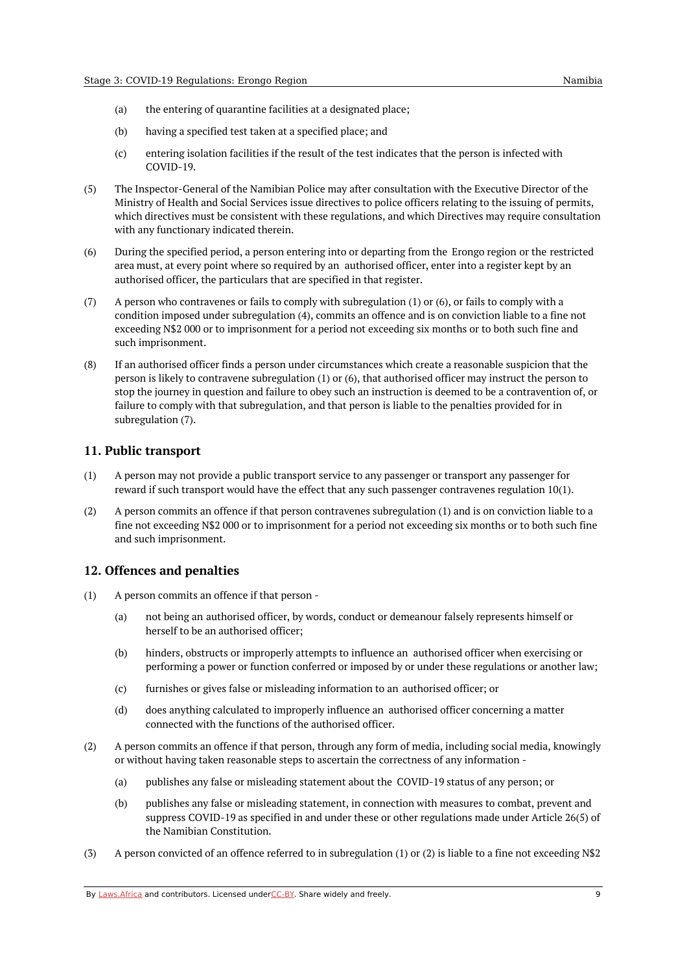- (a) the entering of quarantine facilities at a designated place;
- (b) having a specified test taken at a specified place; and
- (c) entering isolation facilities if the result of the test indicates that the person is infected with COVID-19.
- (5) The Inspector-General of the Namibian Police may after consultation with the Executive Director of the Ministry of Health and Social Services issue directives to police officers relating to the issuing of permits, which directives must be consistent with these regulations, and which Directives may require consultation with any functionary indicated therein.
- (6) During the specified period, a person entering into or departing from the Erongo region or the restricted area must, at every point where so required by an authorised officer, enter into a register kept by an authorised officer, the particulars that are specified in that register.
- (7) A person who contravenes or fails to comply with subregulation (1) or (6), or fails to comply with a condition imposed under subregulation (4), commits an offence and is on conviction liable to a fine not exceeding N\$2 000 or to imprisonment for a period not exceeding six months or to both such fine and such imprisonment.
- (8) If an authorised officer finds a person under circumstances which create a reasonable suspicion that the person is likely to contravene subregulation (1) or (6), that authorised officer may instruct the person to stop the journey in question and failure to obey such an instruction is deemed to be a contravention of, or failure to comply with that subregulation, and that person is liable to the penalties provided for in subregulation (7).

#### <span id="page-8-0"></span>**11. Public transport**

- (1) A person may not provide a public transport service to any passenger or transport any passenger for reward if such transport would have the effect that any such passenger contravenes regulation 10(1).
- (2) A person commits an offence if that person contravenes subregulation (1) and is on conviction liable to a fine not exceeding N\$2 000 or to imprisonment for a period not exceeding six months or to both such fine and such imprisonment.

#### <span id="page-8-1"></span>**12. Offences and penalties**

- (1) A person commits an offence if that person -
	- (a) not being an authorised officer, by words, conduct or demeanour falsely represents himself or herself to be an authorised officer;
	- (b) hinders, obstructs or improperly attempts to influence an authorised officer when exercising or performing a power or function conferred or imposed by or under these regulations or another law;
	- (c) furnishes or gives false or misleading information to an authorised officer; or
	- (d) does anything calculated to improperly influence an authorised officer concerning a matter connected with the functions of the authorised officer.
- (2) A person commits an offence if that person, through any form of media, including social media, knowingly or without having taken reasonable steps to ascertain the correctness of any information -
	- (a) publishes any false or misleading statement about the COVID-19 status of any person; or
	- (b) publishes any false or misleading statement, in connection with measures to combat, prevent and suppress COVID-19 as specified in and under these or other regulations made under Article 26(5) of the Namibian Constitution.
- (3) A person convicted of an offence referred to in subregulation (1) or (2) is liable to a fine not exceeding N\$2

By [Laws.Africa](https://edit.laws.africa/widgets/pdf-attribution) and contributors. Licensed und[erCC-B](https://edit.laws.africa/widgets/pdf-cc-by)Y. Share widely and freely. 9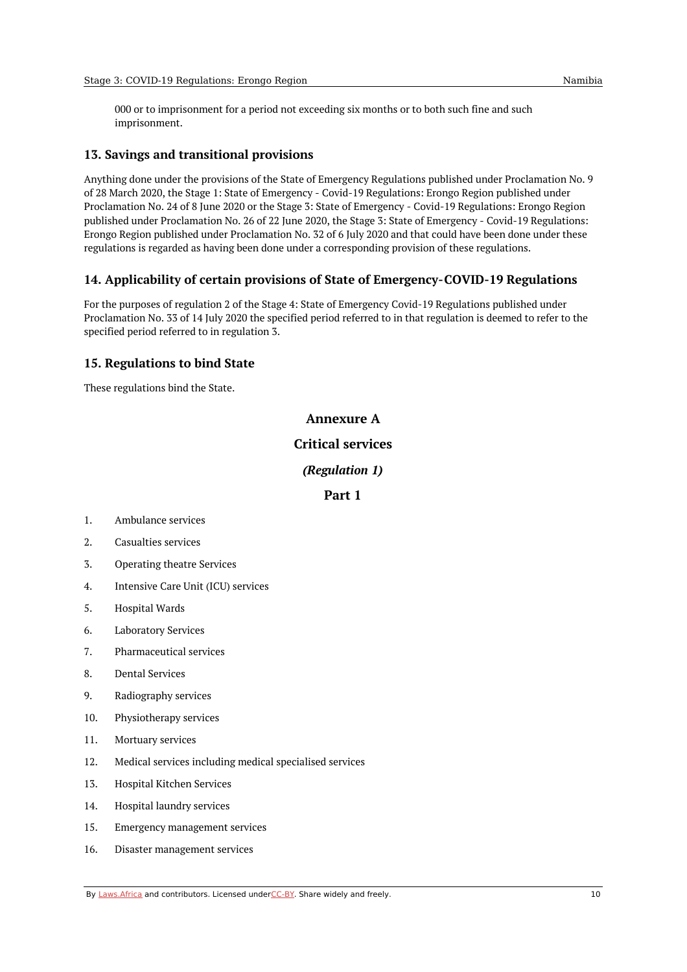000 or to imprisonment for a period not exceeding six months or to both such fine and such imprisonment.

#### <span id="page-9-0"></span>**13. Savings and transitional provisions**

Anything done under the provisions of the State of Emergency Regulations published under Proclamation No. 9 of 28 March 2020, the Stage 1: State of Emergency - Covid-19 Regulations: Erongo Region published under Proclamation No. 24 of 8 June 2020 or the Stage 3: State of Emergency - Covid-19 Regulations: Erongo Region published under Proclamation No. 26 of 22 June 2020, the Stage 3: State of Emergency - Covid-19 Regulations: Erongo Region published under Proclamation No. 32 of 6 July 2020 and that could have been done under these regulations is regarded as having been done under a corresponding provision of these regulations.

#### <span id="page-9-1"></span>**14. Applicability of certain provisions of State of Emergency-COVID-19 Regulations**

For the purposes of regulation 2 of the Stage 4: State of Emergency Covid-19 Regulations published under Proclamation No. 33 of 14 July 2020 the specified period referred to in that regulation is deemed to refer to the specified period referred to in regulation 3.

#### <span id="page-9-2"></span>**15. Regulations to bind State**

<span id="page-9-4"></span><span id="page-9-3"></span>These regulations bind the State.

#### **Annexure A**

#### **Critical services**

#### *(Regulation 1)*

#### **Part 1**

- <span id="page-9-6"></span><span id="page-9-5"></span>1. Ambulance services
- 2. Casualties services
- 3. Operating theatre Services
- 4. Intensive Care Unit (ICU) services
- 5. Hospital Wards
- 6. Laboratory Services
- 7. Pharmaceutical services
- 8. Dental Services
- 9. Radiography services
- 10. Physiotherapy services
- 11. Mortuary services
- 12. Medical services including medical specialised services
- 13. Hospital Kitchen Services
- 14. Hospital laundry services
- 15. Emergency management services
- 16. Disaster management services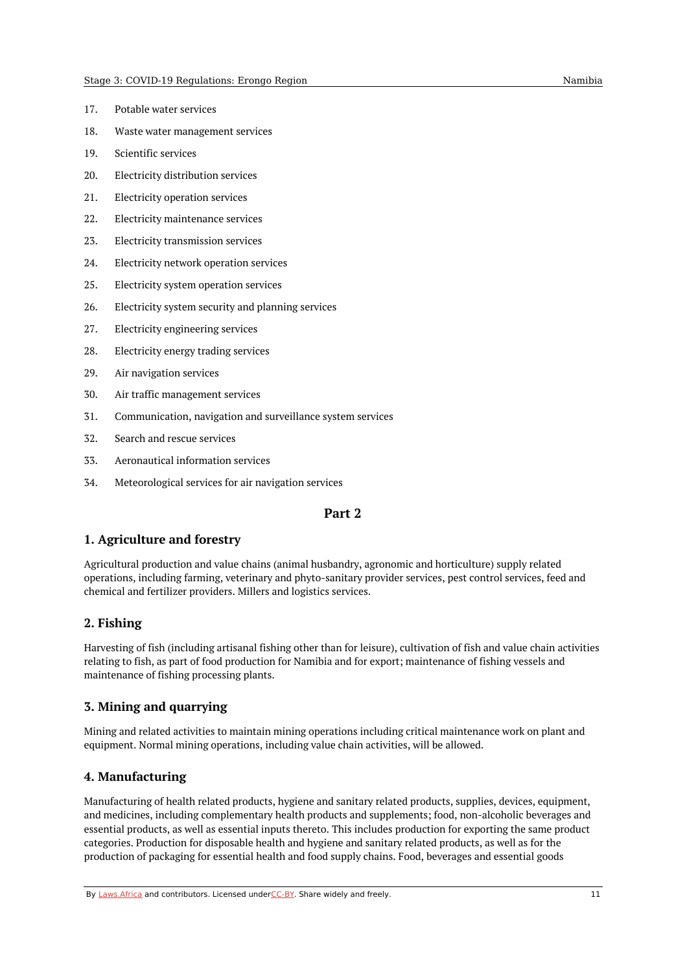- 17. Potable water services
- 18. Waste water management services
- 19. Scientific services
- 20. Electricity distribution services
- 21. Electricity operation services
- 22. Electricity maintenance services
- 23. Electricity transmission services
- 24. Electricity network operation services
- 25. Electricity system operation services
- 26. Electricity system security and planning services
- 27. Electricity engineering services
- 28. Electricity energy trading services
- 29. Air navigation services
- 30. Air traffic management services
- 31. Communication, navigation and surveillance system services
- 32. Search and rescue services
- 33. Aeronautical information services
- <span id="page-10-0"></span>34. Meteorological services for air navigation services

#### **Part 2**

#### <span id="page-10-1"></span>**1. Agriculture and forestry**

Agricultural production and value chains (animal husbandry, agronomic and horticulture) supply related operations, including farming, veterinary and phyto-sanitary provider services, pest control services, feed and chemical and fertilizer providers. Millers and logistics services.

#### <span id="page-10-2"></span>**2. Fishing**

Harvesting of fish (including artisanal fishing other than for leisure), cultivation of fish and value chain activities relating to fish, as part of food production for Namibia and for export; maintenance of fishing vessels and maintenance of fishing processing plants.

#### <span id="page-10-3"></span>**3. Mining and quarrying**

Mining and related activities to maintain mining operations including critical maintenance work on plant and equipment. Normal mining operations, including value chain activities, will be allowed.

#### <span id="page-10-4"></span>**4. Manufacturing**

Manufacturing of health related products, hygiene and sanitary related products, supplies, devices, equipment, and medicines, including complementary health products and supplements; food, non-alcoholic beverages and essential products, as well as essential inputs thereto. This includes production for exporting the same product categories. Production for disposable health and hygiene and sanitary related products, as well as for the production of packaging for essential health and food supply chains. Food, beverages and essential goods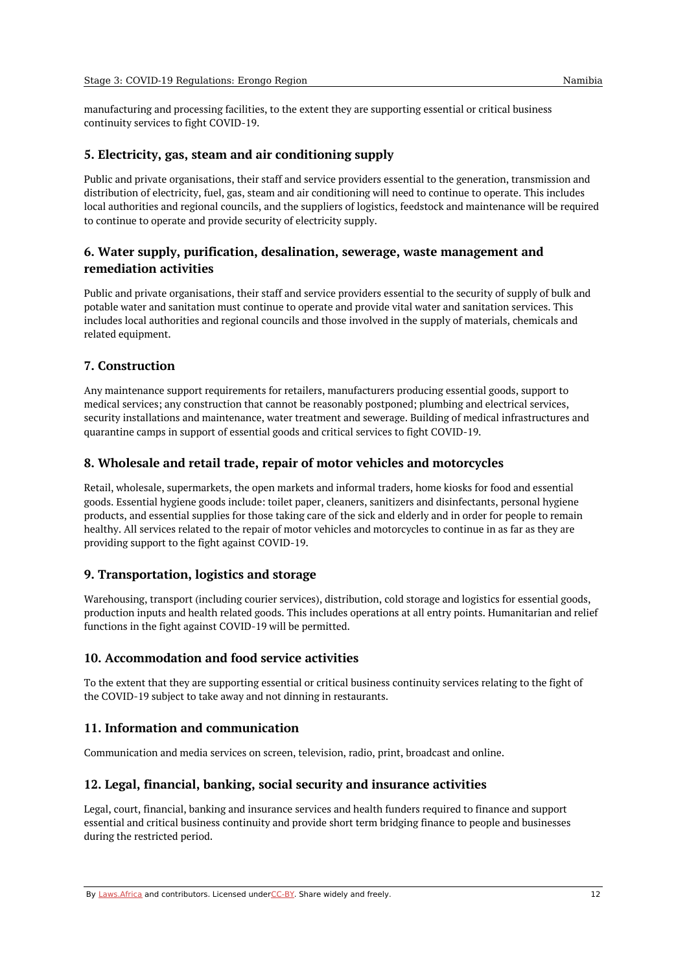manufacturing and processing facilities, to the extent they are supporting essential or critical business continuity services to fight COVID-19.

#### <span id="page-11-0"></span>**5. Electricity, gas, steam and air conditioning supply**

Public and private organisations, their staff and service providers essential to the generation, transmission and distribution of electricity, fuel, gas, steam and air conditioning will need to continue to operate. This includes local authorities and regional councils, and the suppliers of logistics, feedstock and maintenance will be required to continue to operate and provide security of electricity supply.

#### <span id="page-11-1"></span>**6. Water supply, purification, desalination, sewerage, waste management and remediation activities**

Public and private organisations, their staff and service providers essential to the security of supply of bulk and potable water and sanitation must continue to operate and provide vital water and sanitation services. This includes local authorities and regional councils and those involved in the supply of materials, chemicals and related equipment.

#### <span id="page-11-2"></span>**7. Construction**

Any maintenance support requirements for retailers, manufacturers producing essential goods, support to medical services; any construction that cannot be reasonably postponed; plumbing and electrical services, security installations and maintenance, water treatment and sewerage. Building of medical infrastructures and quarantine camps in support of essential goods and critical services to fight COVID-19.

#### <span id="page-11-3"></span>**8. Wholesale and retail trade, repair of motor vehicles and motorcycles**

Retail, wholesale, supermarkets, the open markets and informal traders, home kiosks for food and essential goods. Essential hygiene goods include: toilet paper, cleaners, sanitizers and disinfectants, personal hygiene products, and essential supplies for those taking care of the sick and elderly and in order for people to remain healthy. All services related to the repair of motor vehicles and motorcycles to continue in as far as they are providing support to the fight against COVID-19.

#### <span id="page-11-4"></span>**9. Transportation, logistics and storage**

Warehousing, transport (including courier services), distribution, cold storage and logistics for essential goods, production inputs and health related goods. This includes operations at all entry points. Humanitarian and relief functions in the fight against COVID-19 will be permitted.

#### <span id="page-11-5"></span>**10. Accommodation and food service activities**

To the extent that they are supporting essential or critical business continuity services relating to the fight of the COVID-19 subject to take away and not dinning in restaurants.

#### <span id="page-11-6"></span>**11. Information and communication**

Communication and media services on screen, television, radio, print, broadcast and online.

#### <span id="page-11-7"></span>**12. Legal, financial, banking, social security and insurance activities**

Legal, court, financial, banking and insurance services and health funders required to finance and support essential and critical business continuity and provide short term bridging finance to people and businesses during the restricted period.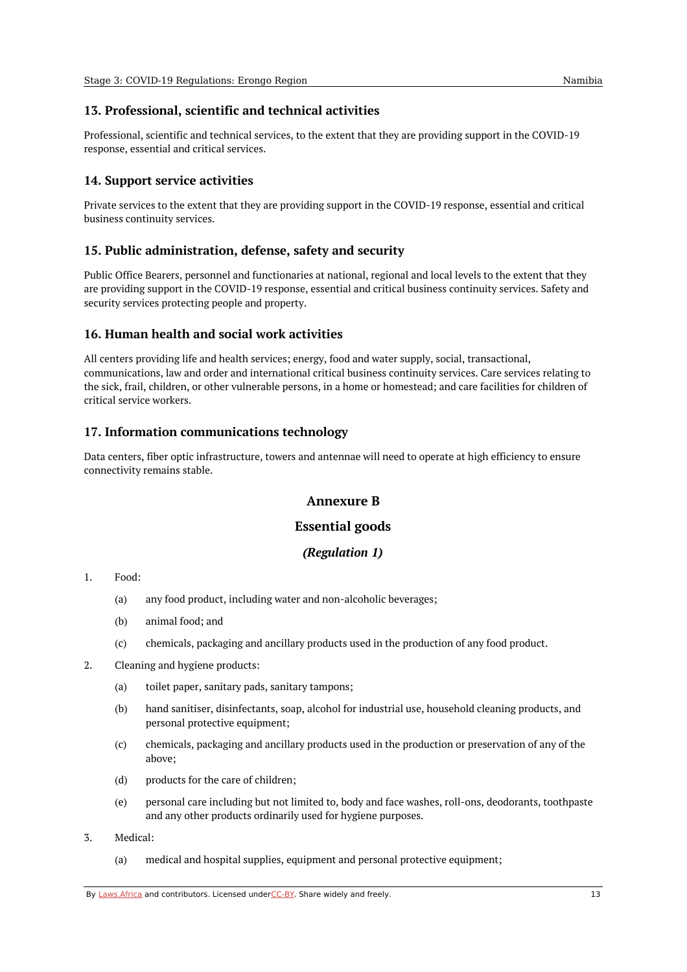#### <span id="page-12-0"></span>**13. Professional, scientific and technical activities**

Professional, scientific and technical services, to the extent that they are providing support in the COVID-19 response, essential and critical services.

#### <span id="page-12-1"></span>**14. Support service activities**

Private services to the extent that they are providing support in the COVID-19 response, essential and critical business continuity services.

#### <span id="page-12-2"></span>**15. Public administration, defense, safety and security**

Public Office Bearers, personnel and functionaries at national, regional and local levels to the extent that they are providing support in the COVID-19 response, essential and critical business continuity services. Safety and security services protecting people and property.

#### <span id="page-12-3"></span>**16. Human health and social work activities**

All centers providing life and health services; energy, food and water supply, social, transactional, communications, law and order and international critical business continuity services. Care services relating to the sick, frail, children, or other vulnerable persons, in a home or homestead; and care facilities for children of critical service workers.

#### <span id="page-12-4"></span>**17. Information communications technology**

<span id="page-12-5"></span>Data centers, fiber optic infrastructure, towers and antennae will need to operate at high efficiency to ensure connectivity remains stable.

#### **Annexure B**

#### **Essential goods**

#### *(Regulation 1)*

#### <span id="page-12-7"></span><span id="page-12-6"></span>1. Food:

- (a) any food product, including water and non-alcoholic beverages;
- (b) animal food; and
- $(c)$ chemicals, packaging and ancillary products used in the production of any food product.
- 2. Cleaning and hygiene products:
	- (a) toilet paper, sanitary pads, sanitary tampons;
	- (b) hand sanitiser, disinfectants, soap, alcohol for industrial use, household cleaning products, and personal protective equipment;
	- (c) chemicals, packaging and ancillary products used in the production or preservation of any of the above;
	- (d) products for the care of children;
	- (e) personal care including but not limited to, body and face washes, roll-ons, deodorants, toothpaste and any other products ordinarily used for hygiene purposes.
- 3. Medical:
	- (a) medical and hospital supplies, equipment and personal protective equipment;